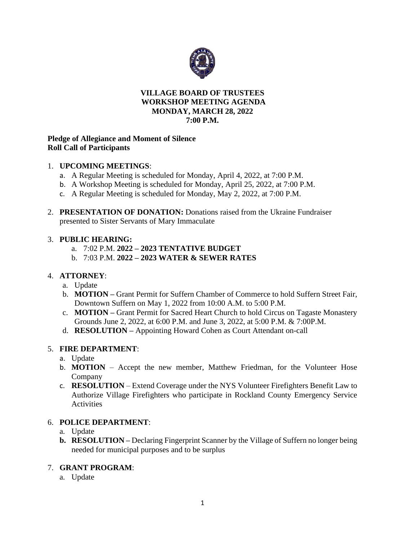

### **VILLAGE BOARD OF TRUSTEES WORKSHOP MEETING AGENDA MONDAY, MARCH 28, 2022 7:00 P.M.**

## **Pledge of Allegiance and Moment of Silence Roll Call of Participants**

## 1. **UPCOMING MEETINGS**:

- a. A Regular Meeting is scheduled for Monday, April 4, 2022, at 7:00 P.M.
- b. A Workshop Meeting is scheduled for Monday, April 25, 2022, at 7:00 P.M.
- c. A Regular Meeting is scheduled for Monday, May 2, 2022, at 7:00 P.M.
- 2. **PRESENTATION OF DONATION:** Donations raised from the Ukraine Fundraiser presented to Sister Servants of Mary Immaculate

### 3. **PUBLIC HEARING:**

- a. 7:02 P.M. **2022 – 2023 TENTATIVE BUDGET**
- b. 7:03 P.M. **2022 – 2023 WATER & SEWER RATES**

# 4. **ATTORNEY**:

- a. Update
- b. **MOTION –** Grant Permit for Suffern Chamber of Commerce to hold Suffern Street Fair, Downtown Suffern on May 1, 2022 from 10:00 A.M. to 5:00 P.M.
- c. **MOTION –** Grant Permit for Sacred Heart Church to hold Circus on Tagaste Monastery Grounds June 2, 2022, at 6:00 P.M. and June 3, 2022, at 5:00 P.M. & 7:00P.M.
- d. **RESOLUTION –** Appointing Howard Cohen as Court Attendant on-call

# 5. **FIRE DEPARTMENT**:

- a. Update
- b. **MOTION** Accept the new member, Matthew Friedman, for the Volunteer Hose Company
- c. **RESOLUTION**  Extend Coverage under the NYS Volunteer Firefighters Benefit Law to Authorize Village Firefighters who participate in Rockland County Emergency Service **Activities**

### 6. **POLICE DEPARTMENT**:

- a. Update
- **b. RESOLUTION –** Declaring Fingerprint Scanner by the Village of Suffern no longer being needed for municipal purposes and to be surplus

### 7. **GRANT PROGRAM**:

a. Update